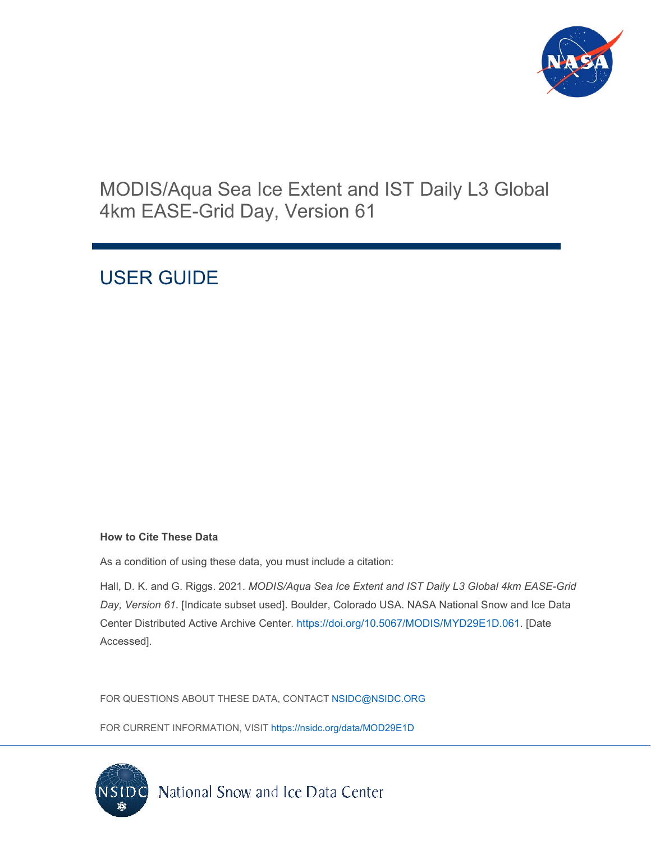

# MODIS/Aqua Sea Ice Extent and IST Daily L3 Global 4km EASE-Grid Day, Version 61

# USER GUIDE

### **How to Cite These Data**

As a condition of using these data, you must include a citation:

Hall, D. K. and G. Riggs. 2021. *MODIS/Aqua Sea Ice Extent and IST Daily L3 Global 4km EASE-Grid Day, Version 61*. [Indicate subset used]. Boulder, Colorado USA. NASA National Snow and Ice Data Center Distributed Active Archive Center. [https://doi.org/10.5067/MODIS/MYD29E1D.061.](https://doi.org/10.5067/MODIS/MYD29E1D.061) [Date Accessed].

FOR QUESTIONS ABOUT THESE DATA, CONTACT [NSIDC@NSIDC.ORG](mailto:nsidc@nsidc.org)

FOR CURRENT INFORMATION, VISIT<https://nsidc.org/data/MOD29E1D>

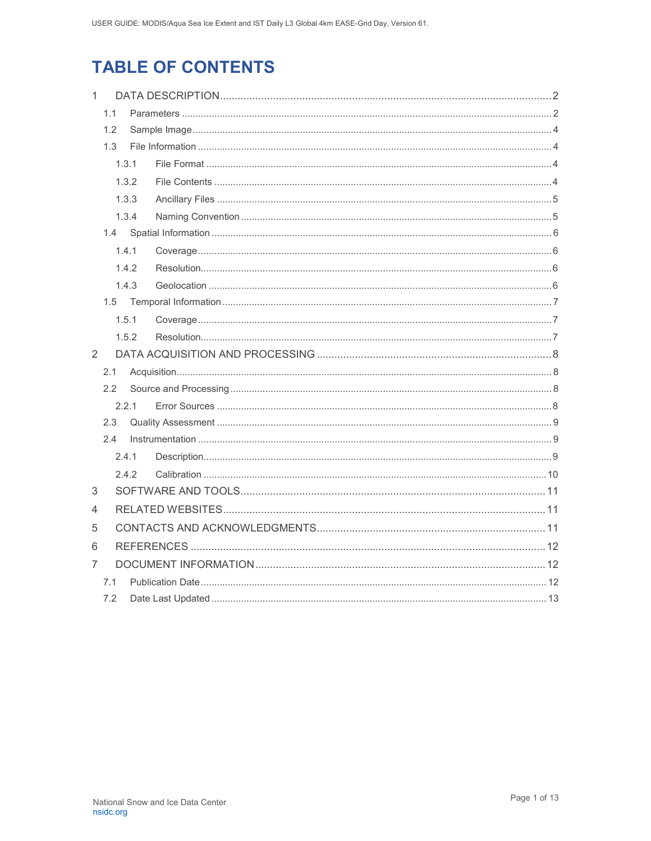# **TABLE OF CONTENTS**

| $\mathbf{1}$            |                     |       |  |  |
|-------------------------|---------------------|-------|--|--|
|                         | 1.1                 |       |  |  |
|                         | 1.2<br>1.3<br>1.3.1 |       |  |  |
|                         |                     |       |  |  |
|                         |                     |       |  |  |
|                         |                     | 1.3.2 |  |  |
|                         |                     | 1.3.3 |  |  |
|                         | 1.3.4               |       |  |  |
| 1.4.1<br>1.4.2<br>1.4.3 |                     |       |  |  |
|                         |                     |       |  |  |
|                         |                     |       |  |  |
|                         |                     |       |  |  |
|                         |                     |       |  |  |
|                         |                     | 1.5.1 |  |  |
|                         |                     | 1.5.2 |  |  |
| 2                       |                     |       |  |  |
|                         | 2.1                 |       |  |  |
| 2.2                     |                     |       |  |  |
|                         |                     | 2.2.1 |  |  |
| 2.3<br>2.4              |                     |       |  |  |
|                         |                     |       |  |  |
|                         |                     | 2.4.1 |  |  |
|                         |                     | 2.4.2 |  |  |
| 3                       |                     |       |  |  |
| 4                       |                     |       |  |  |
| 5                       |                     |       |  |  |
| 6                       |                     |       |  |  |
| 7                       | 7.1                 |       |  |  |
|                         |                     |       |  |  |
|                         | 7.2                 |       |  |  |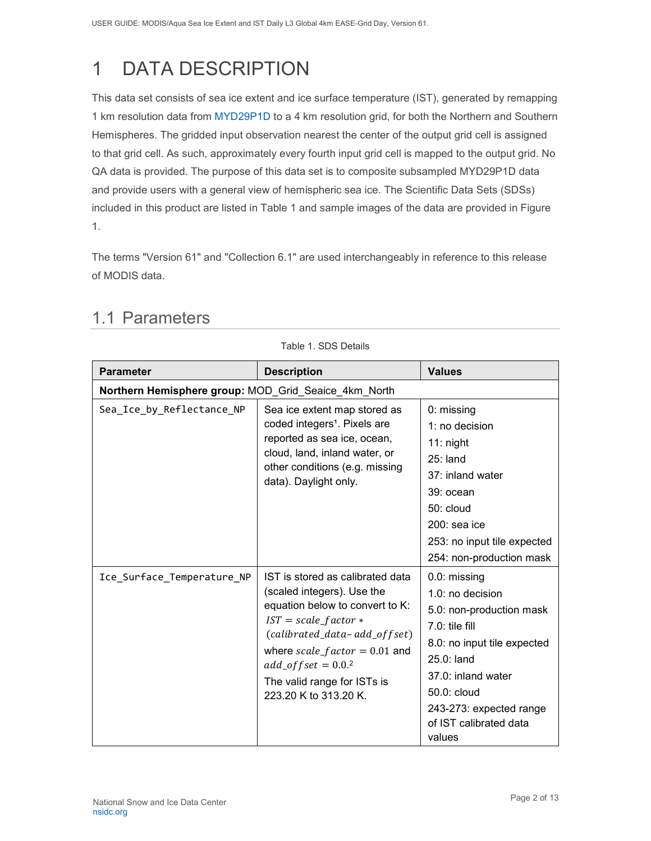# <span id="page-2-0"></span>1 DATA DESCRIPTION

This data set consists of sea ice extent and ice surface temperature (IST), generated by remapping 1 km resolution data from [MYD29P1D](https://nsidc.org/data/myd29p1d/versions/61) to a 4 km resolution grid, for both the Northern and Southern Hemispheres. The gridded input observation nearest the center of the output grid cell is assigned to that grid cell. As such, approximately every fourth input grid cell is mapped to the output grid. No QA data is provided. The purpose of this data set is to composite subsampled MYD29P1D data and provide users with a general view of hemispheric sea ice. The Scientific Data Sets (SDSs) included in this product are listed in Table 1 and sample images of the data are provided in Figure 1.

The terms "Version 61" and "Collection 6.1" are used interchangeably in reference to this release of MODIS data.

Table 1. SDS Details

| <b>Parameter</b>                                     | <b>Description</b>                                                                                                                                                                                                                                                             | <b>Values</b>                                                                                                                                                                                                                       |  |
|------------------------------------------------------|--------------------------------------------------------------------------------------------------------------------------------------------------------------------------------------------------------------------------------------------------------------------------------|-------------------------------------------------------------------------------------------------------------------------------------------------------------------------------------------------------------------------------------|--|
| Northern Hemisphere group: MOD_Grid_Seaice_4km_North |                                                                                                                                                                                                                                                                                |                                                                                                                                                                                                                                     |  |
| Sea_Ice_by_Reflectance_NP                            | Sea ice extent map stored as<br>coded integers <sup>1</sup> . Pixels are<br>reported as sea ice, ocean,<br>cloud, land, inland water, or<br>other conditions (e.g. missing<br>data). Daylight only.                                                                            | 0: missing<br>1: no decision<br>$11:$ night<br>$25:$ land<br>37: inland water<br>39: ocean<br>$50:$ cloud<br>$200:$ sea ice<br>253: no input tile expected<br>254: non-production mask                                              |  |
| Ice Surface Temperature NP                           | IST is stored as calibrated data<br>(scaled integers). Use the<br>equation below to convert to K:<br>$IST = scale_factor *$<br>(calibrated_data-add_offset)<br>where $scale_factor = 0.01$ and<br>$add\_offset = 0.02$<br>The valid range for ISTs is<br>223.20 K to 313.20 K. | 0.0: missing<br>$1.0:$ no decision<br>5.0: non-production mask<br>$7.0:$ tile fill<br>8.0: no input tile expected<br>25.0: land<br>37.0: inland water<br>50.0: cloud<br>243-273: expected range<br>of IST calibrated data<br>values |  |

### <span id="page-2-1"></span>1.1 Parameters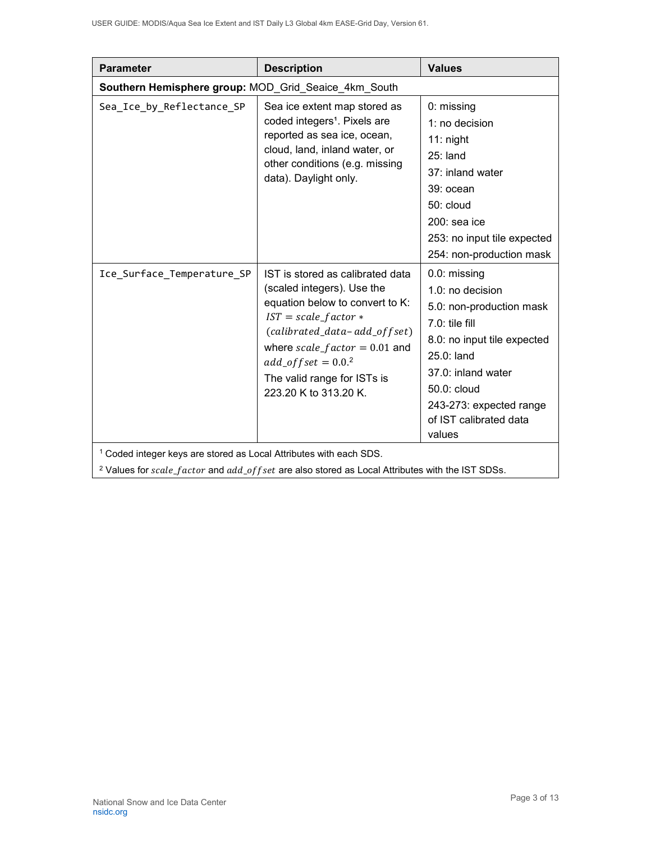| <b>Parameter</b>                                                                                                                                                                            | <b>Description</b>                                                                                                                                                                                                                                                              | <b>Values</b>                                                                                                                                                                                                                     |  |  |
|---------------------------------------------------------------------------------------------------------------------------------------------------------------------------------------------|---------------------------------------------------------------------------------------------------------------------------------------------------------------------------------------------------------------------------------------------------------------------------------|-----------------------------------------------------------------------------------------------------------------------------------------------------------------------------------------------------------------------------------|--|--|
|                                                                                                                                                                                             | Southern Hemisphere group: MOD_Grid_Seaice_4km_South                                                                                                                                                                                                                            |                                                                                                                                                                                                                                   |  |  |
| Sea_Ice_by_Reflectance_SP                                                                                                                                                                   | Sea ice extent map stored as<br>coded integers <sup>1</sup> . Pixels are<br>reported as sea ice, ocean,<br>cloud, land, inland water, or<br>other conditions (e.g. missing<br>data). Daylight only.                                                                             | 0: missing<br>1: no decision<br>$11:$ night<br>$25:$ land<br>37: inland water<br>39: ocean<br>$50:$ cloud<br>$200:$ sea ice<br>253: no input tile expected<br>254: non-production mask                                            |  |  |
| Ice_Surface_Temperature_SP                                                                                                                                                                  | IST is stored as calibrated data<br>(scaled integers). Use the<br>equation below to convert to K:<br>$IST = scale_factor *$<br>(calibrated_data-add_offset)<br>where $scale_factor = 0.01$ and<br>$add\_offset = 0.0.2$<br>The valid range for ISTs is<br>223.20 K to 313.20 K. | 0.0: missing<br>1.0: no decision<br>5.0: non-production mask<br>$7.0:$ tile fill<br>8.0: no input tile expected<br>25.0: land<br>37.0: inland water<br>50.0: cloud<br>243-273: expected range<br>of IST calibrated data<br>values |  |  |
| <sup>1</sup> Coded integer keys are stored as Local Attributes with each SDS.<br><sup>2</sup> Values for scale_factor and add_offset are also stored as Local Attributes with the IST SDSs. |                                                                                                                                                                                                                                                                                 |                                                                                                                                                                                                                                   |  |  |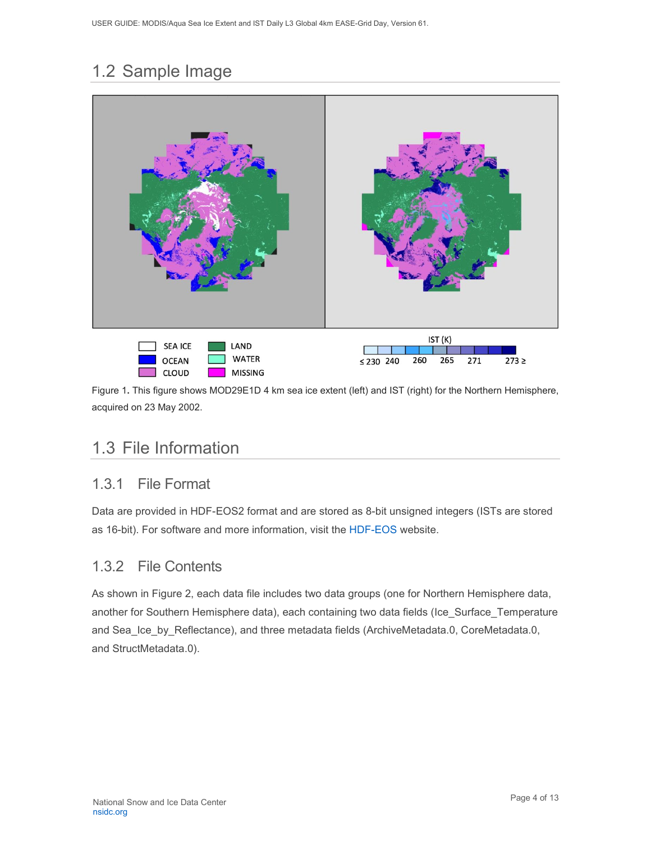## <span id="page-4-0"></span>1.2 Sample Image



Figure 1**.** This figure shows MOD29E1D 4 km sea ice extent (left) and IST (right) for the Northern Hemisphere, acquired on 23 May 2002.

### <span id="page-4-1"></span>1.3 File Information

### <span id="page-4-2"></span>1.3.1 File Format

Data are provided in HDF-EOS2 format and are stored as 8-bit unsigned integers (ISTs are stored as 16-bit). For software and more information, visit the [HDF-EOS](https://portal.hdfgroup.org/display/support) website.

### <span id="page-4-3"></span>1.3.2 File Contents

As shown in Figure 2, each data file includes two data groups (one for Northern Hemisphere data, another for Southern Hemisphere data), each containing two data fields (Ice\_Surface\_Temperature and Sea\_Ice\_by\_Reflectance), and three metadata fields (ArchiveMetadata.0, CoreMetadata.0, and StructMetadata.0).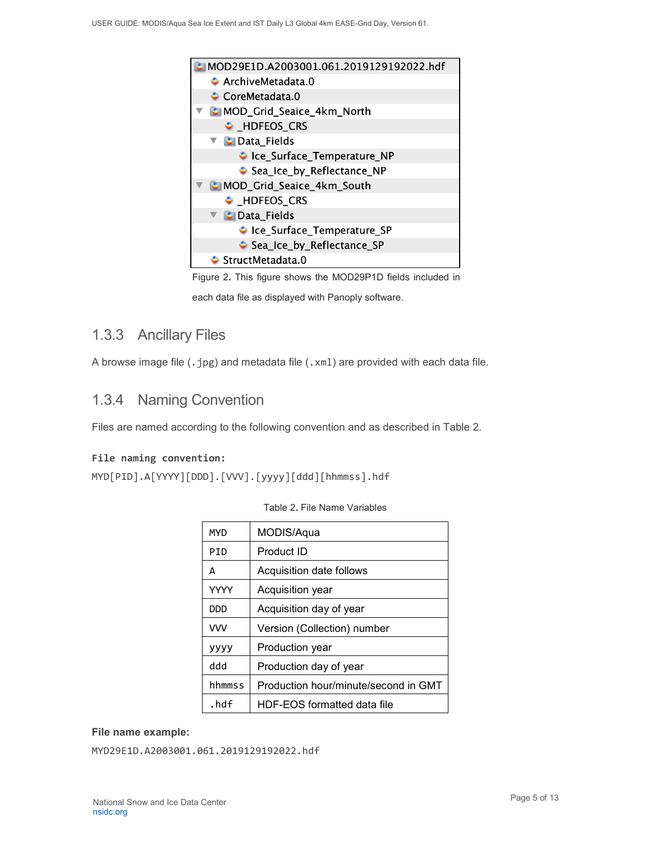

Figure 2**.** This figure shows the MOD29P1D fields included in

each data file as displayed with Panoply software.

### <span id="page-5-0"></span>1.3.3 Ancillary Files

A browse image file (.jpg) and metadata file (.xml) are provided with each data file.

### <span id="page-5-1"></span>1.3.4 Naming Convention

Files are named according to the following convention and as described in Table 2.

### **File naming convention:**

MYD[PID].A[YYYY][DDD].[VVV].[yyyy][ddd][hhmmss].hdf

| MYD         | MODIS/Aqua                           |
|-------------|--------------------------------------|
| PID         | Product ID                           |
| A           | Acquisition date follows             |
| <b>YYYY</b> | Acquisition year                     |
| חממ         | Acquisition day of year              |
| <b>VVV</b>  | Version (Collection) number          |
| уууу        | Production year                      |
| ddd         | Production day of year               |
| hhmmss      | Production hour/minute/second in GMT |
| .hdf        | HDF-EOS formatted data file          |

**File name example:**

MYD29E1D.A2003001.061.2019129192022.hdf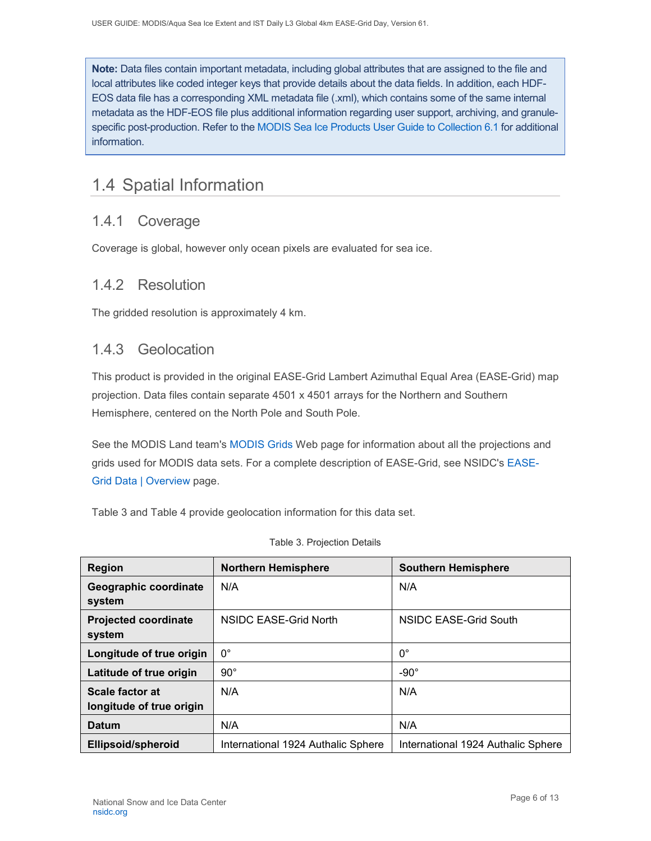**Note:** Data files contain important metadata, including global attributes that are assigned to the file and local attributes like coded integer keys that provide details about the data fields. In addition, each HDF-EOS data file has a corresponding XML metadata file (.xml), which contains some of the same internal metadata as the HDF-EOS file plus additional information regarding user support, archiving, and granulespecific post-production. Refer to the [MODIS Sea Ice Products User Guide to Collection 6.1](https://nsidc.org/sites/nsidc.org/files/technical-references/MOD29_C61_UserGuide.pdf) for additional information.

## <span id="page-6-0"></span>1.4 Spatial Information

### <span id="page-6-1"></span>1.4.1 Coverage

Coverage is global, however only ocean pixels are evaluated for sea ice.

### <span id="page-6-2"></span>1.4.2 Resolution

The gridded resolution is approximately 4 km.

### <span id="page-6-3"></span>1.4.3 Geolocation

This product is provided in the original EASE-Grid Lambert Azimuthal Equal Area (EASE-Grid) map projection. Data files contain separate 4501 x 4501 arrays for the Northern and Southern Hemisphere, centered on the North Pole and South Pole.

See the MODIS Land team's [MODIS](http://modis-land.gsfc.nasa.gov/MODLAND_grid.html) Grids Web page for information about all the projections and grids used for MODIS data sets. For a complete description of EASE-Grid, see NSIDC's [EASE-](https://nsidc.org/data/ease/index.html)[Grid Data | Overview](https://nsidc.org/data/ease/index.html) page.

Table 3 and Table 4 provide geolocation information for this data set.

| <b>Region</b>                               | <b>Northern Hemisphere</b>         | <b>Southern Hemisphere</b>         |
|---------------------------------------------|------------------------------------|------------------------------------|
| Geographic coordinate<br>system             | N/A                                | N/A                                |
| <b>Projected coordinate</b><br>system       | NSIDC EASE-Grid North              | NSIDC EASE-Grid South              |
| Longitude of true origin                    | $0^{\circ}$                        | $0^{\circ}$                        |
| Latitude of true origin                     | $90^{\circ}$                       | $-90^\circ$                        |
| Scale factor at<br>longitude of true origin | N/A                                | N/A                                |
| <b>Datum</b>                                | N/A                                | N/A                                |
| Ellipsoid/spheroid                          | International 1924 Authalic Sphere | International 1924 Authalic Sphere |

#### Table 3. Projection Details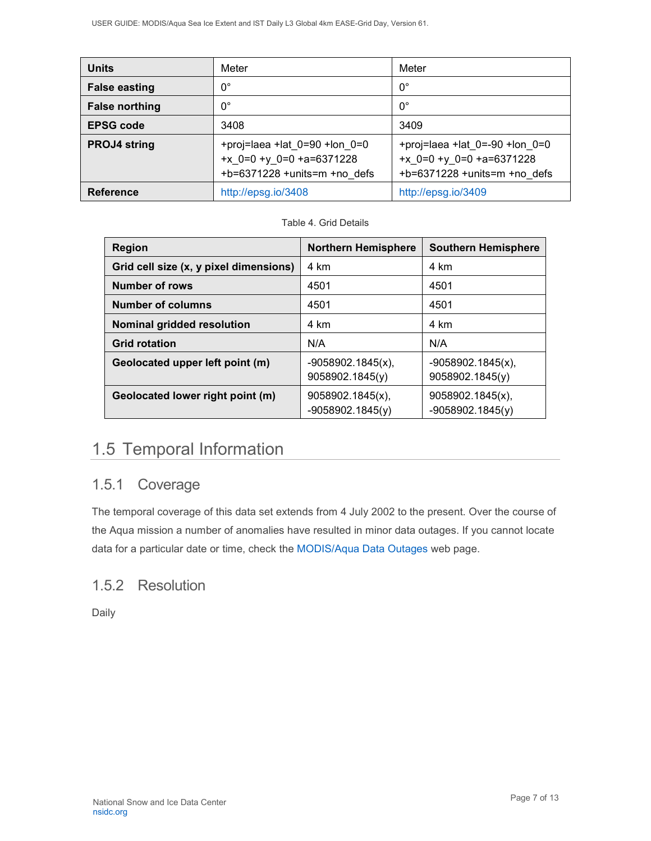| <b>Units</b>          | Meter                                                                                                   | Meter                                                                                                        |
|-----------------------|---------------------------------------------------------------------------------------------------------|--------------------------------------------------------------------------------------------------------------|
| <b>False easting</b>  | $0^{\circ}$                                                                                             | $0^{\circ}$                                                                                                  |
| <b>False northing</b> | $0^{\circ}$                                                                                             | $0^{\circ}$                                                                                                  |
| <b>EPSG code</b>      | 3408                                                                                                    | 3409                                                                                                         |
| <b>PROJ4 string</b>   | +proj=laea +lat $0=90$ +lon $0=0$<br>+ $x$ 0=0 + $y$ 0=0 +a=6371228<br>$+b=6371228 + units=m + no$ defs | +proj=laea +lat $0 = -90$ +lon $0 = 0$<br>+ $x$ 0=0 + $y$ 0=0 +a=6371228<br>$+b=6371228 + units=m + no$ defs |
| <b>Reference</b>      | http://epsg.io/3408                                                                                     | http://epsg.io/3409                                                                                          |

Table 4. Grid Details

| <b>Region</b>                          | <b>Northern Hemisphere</b>              | <b>Southern Hemisphere</b>             |
|----------------------------------------|-----------------------------------------|----------------------------------------|
| Grid cell size (x, y pixel dimensions) | 4 km                                    | 4 km                                   |
| Number of rows                         | 4501                                    | 4501                                   |
| <b>Number of columns</b>               | 4501                                    | 4501                                   |
| Nominal gridded resolution             | 4 km                                    | 4 km                                   |
| <b>Grid rotation</b>                   | N/A                                     | N/A                                    |
| Geolocated upper left point (m)        | $-9058902.1845(x)$ ,<br>9058902.1845(y) | $-9058902.1845(x),$<br>9058902.1845(y) |
| Geolocated lower right point (m)       | 9058902.1845(x),<br>$-9058902.1845(y)$  | 9058902.1845(x),<br>$-9058902.1845(y)$ |

## <span id="page-7-0"></span>1.5 Temporal Information

### <span id="page-7-1"></span>1.5.1 Coverage

The temporal coverage of this data set extends from 4 July 2002 to the present. Over the course of the Aqua mission a number of anomalies have resulted in minor data outages. If you cannot locate data for a particular date or time, check the [MODIS/Aqua Data Outages](http://modaps.nascom.nasa.gov/services/production/outages_aqua.html) web page.

### <span id="page-7-2"></span>1.5.2 Resolution

<span id="page-7-3"></span>Daily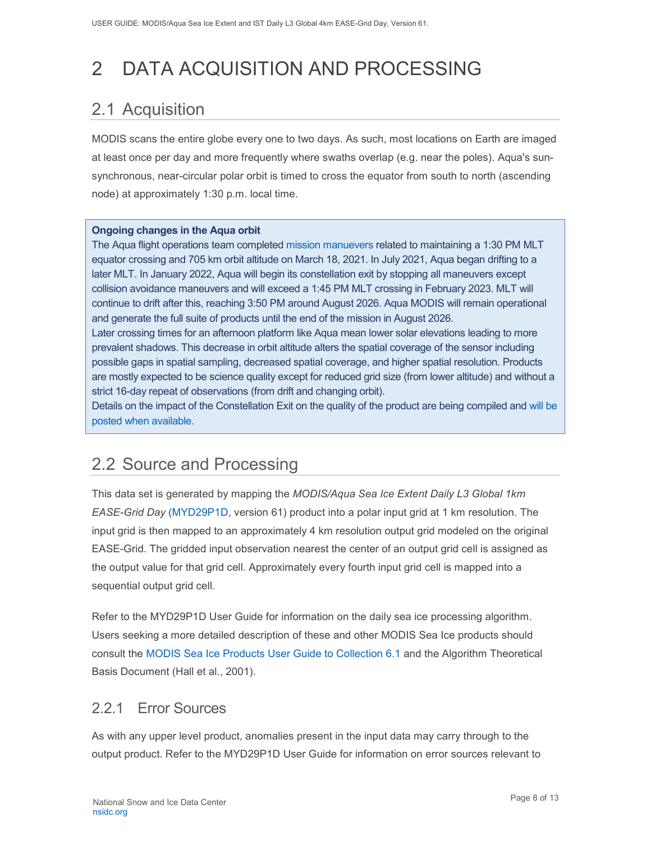# 2 DATA ACQUISITION AND PROCESSING

# <span id="page-8-0"></span>2.1 Acquisition

MODIS scans the entire globe every one to two days. As such, most locations on Earth are imaged at least once per day and more frequently where swaths overlap (e.g. near the poles). Aqua's sunsynchronous, near-circular polar orbit is timed to cross the equator from south to north (ascending node) at approximately 1:30 p.m. local time.

### **Ongoing changes in the Aqua orbit**

The Aqua flight operations team completed [mission manuevers](https://modis.gsfc.nasa.gov/news/individual.php?news_id=100389) related to maintaining a 1:30 PM MLT equator crossing and 705 km orbit altitude on March 18, 2021. In July 2021, Aqua began drifting to a later MLT. In January 2022, Aqua will begin its constellation exit by stopping all maneuvers except collision avoidance maneuvers and will exceed a 1:45 PM MLT crossing in February 2023. MLT will continue to drift after this, reaching 3:50 PM around August 2026. Aqua MODIS will remain operational and generate the full suite of products until the end of the mission in August 2026. Later crossing times for an afternoon platform like Aqua mean lower solar elevations leading to more prevalent shadows. This decrease in orbit altitude alters the spatial coverage of the sensor including possible gaps in spatial sampling, decreased spatial coverage, and higher spatial resolution. Products are mostly expected to be science quality except for reduced grid size (from lower altitude) and without a strict 16-day repeat of observations (from drift and changing orbit).

Details on the impact of the Constellation Exit on the quality of the product are being compiled and [will be](https://landweb.modaps.eosdis.nasa.gov/cgi-bin/QS/new/index.cgi)  [posted when available.](https://landweb.modaps.eosdis.nasa.gov/cgi-bin/QS/new/index.cgi)

## <span id="page-8-1"></span>2.2 Source and Processing

This data set is generated by mapping the *MODIS/Aqua Sea Ice Extent Daily L3 Global 1km EASE-Grid Day* [\(MYD29P1D,](https://nsidc.org/data/myd29p1d) version 61) product into a polar input grid at 1 km resolution. The input grid is then mapped to an approximately 4 km resolution output grid modeled on the original EASE-Grid. The gridded input observation nearest the center of an output grid cell is assigned as the output value for that grid cell. Approximately every fourth input grid cell is mapped into a sequential output grid cell.

Refer to the MYD29P1D User Guide for information on the daily sea ice processing algorithm. Users seeking a more detailed description of these and other MODIS Sea Ice products should consult the [MODIS Sea Ice Products User Guide to Collection 6.1](https://nsidc.org/sites/nsidc.org/files/technical-references/MOD29_C61_UserGuide.pdf) and the Algorithm Theoretical Basis Document (Hall et al., 2001).

### <span id="page-8-2"></span>2.2.1 Error Sources

As with any upper level product, anomalies present in the input data may carry through to the output product. Refer to the MYD29P1D User Guide for information on error sources relevant to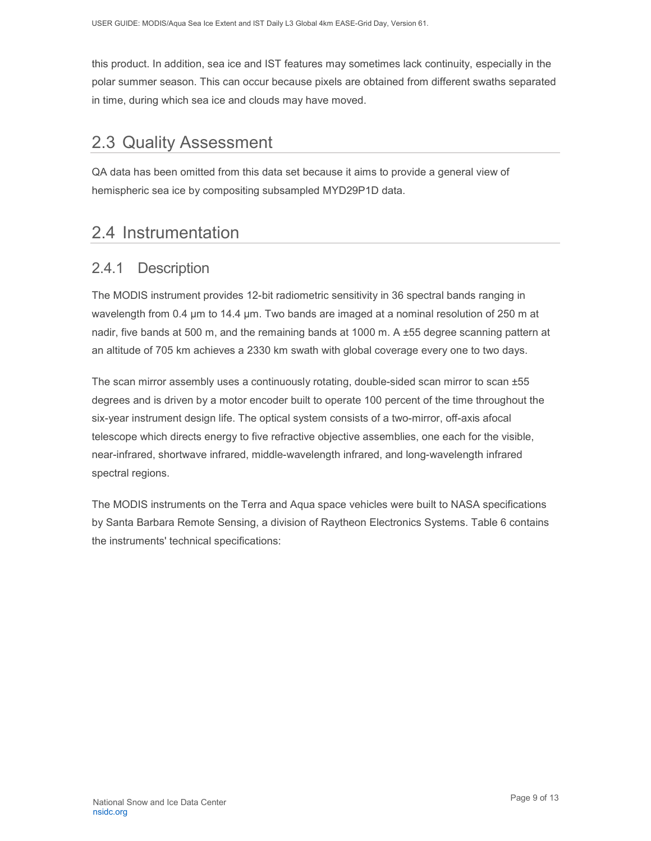this product. In addition, sea ice and IST features may sometimes lack continuity, especially in the polar summer season. This can occur because pixels are obtained from different swaths separated in time, during which sea ice and clouds may have moved.

### <span id="page-9-0"></span>2.3 Quality Assessment

QA data has been omitted from this data set because it aims to provide a general view of hemispheric sea ice by compositing subsampled MYD29P1D data.

## <span id="page-9-1"></span>2.4 Instrumentation

### <span id="page-9-2"></span>2.4.1 Description

The MODIS instrument provides 12-bit radiometric sensitivity in 36 spectral bands ranging in wavelength from 0.4 µm to 14.4 µm. Two bands are imaged at a nominal resolution of 250 m at nadir, five bands at 500 m, and the remaining bands at 1000 m. A ±55 degree scanning pattern at an altitude of 705 km achieves a 2330 km swath with global coverage every one to two days.

The scan mirror assembly uses a continuously rotating, double-sided scan mirror to scan ±55 degrees and is driven by a motor encoder built to operate 100 percent of the time throughout the six-year instrument design life. The optical system consists of a two-mirror, off-axis afocal telescope which directs energy to five refractive objective assemblies, one each for the visible, near-infrared, shortwave infrared, middle-wavelength infrared, and long-wavelength infrared spectral regions.

The MODIS instruments on the Terra and Aqua space vehicles were built to NASA specifications by Santa Barbara Remote Sensing, a division of Raytheon Electronics Systems. Table 6 contains the instruments' technical specifications: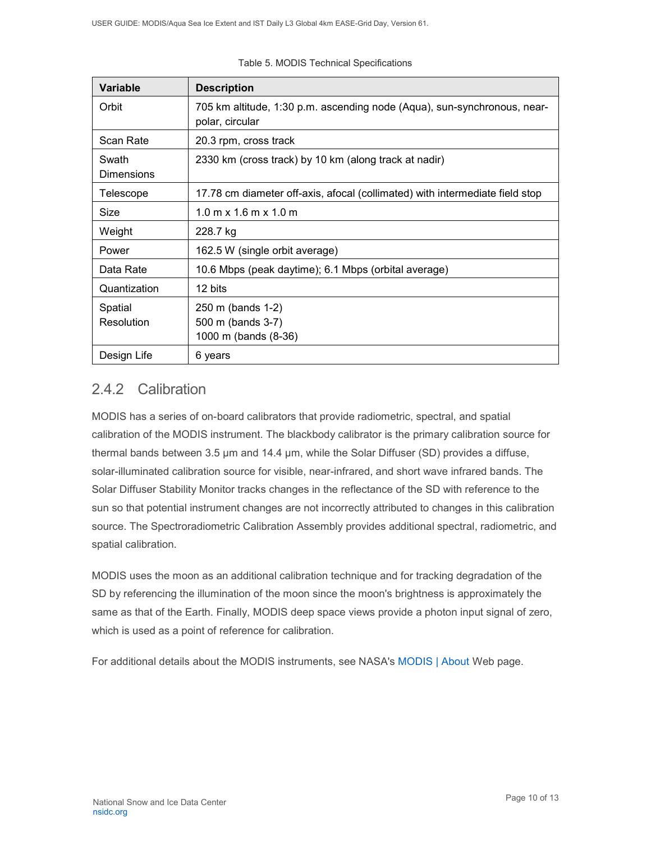| <b>Variable</b>            | <b>Description</b>                                                                          |
|----------------------------|---------------------------------------------------------------------------------------------|
| Orbit                      | 705 km altitude, 1:30 p.m. ascending node (Aqua), sun-synchronous, near-<br>polar, circular |
| Scan Rate                  | 20.3 rpm, cross track                                                                       |
| Swath<br><b>Dimensions</b> | 2330 km (cross track) by 10 km (along track at nadir)                                       |
| Telescope                  | 17.78 cm diameter off-axis, afocal (collimated) with intermediate field stop                |
| Size                       | $1.0 \text{ m} \times 1.6 \text{ m} \times 1.0 \text{ m}$                                   |
| Weight                     | 228.7 kg                                                                                    |
| Power                      | 162.5 W (single orbit average)                                                              |
| Data Rate                  | 10.6 Mbps (peak daytime); 6.1 Mbps (orbital average)                                        |
| Quantization               | 12 bits                                                                                     |
| Spatial<br>Resolution      | 250 m (bands 1-2)<br>500 m (bands 3-7)<br>1000 m (bands (8-36)                              |
| Design Life                | 6 years                                                                                     |

#### Table 5. MODIS Technical Specifications

### <span id="page-10-0"></span>2.4.2 Calibration

MODIS has a series of on-board calibrators that provide radiometric, spectral, and spatial calibration of the MODIS instrument. The blackbody calibrator is the primary calibration source for thermal bands between 3.5 µm and 14.4 µm, while the Solar Diffuser (SD) provides a diffuse, solar-illuminated calibration source for visible, near-infrared, and short wave infrared bands. The Solar Diffuser Stability Monitor tracks changes in the reflectance of the SD with reference to the sun so that potential instrument changes are not incorrectly attributed to changes in this calibration source. The Spectroradiometric Calibration Assembly provides additional spectral, radiometric, and spatial calibration.

MODIS uses the moon as an additional calibration technique and for tracking degradation of the SD by referencing the illumination of the moon since the moon's brightness is approximately the same as that of the Earth. Finally, MODIS deep space views provide a photon input signal of zero, which is used as a point of reference for calibration.

<span id="page-10-1"></span>For additional details about the MODIS instruments, see NASA's [MODIS | About](http://modis.gsfc.nasa.gov/about/) Web page.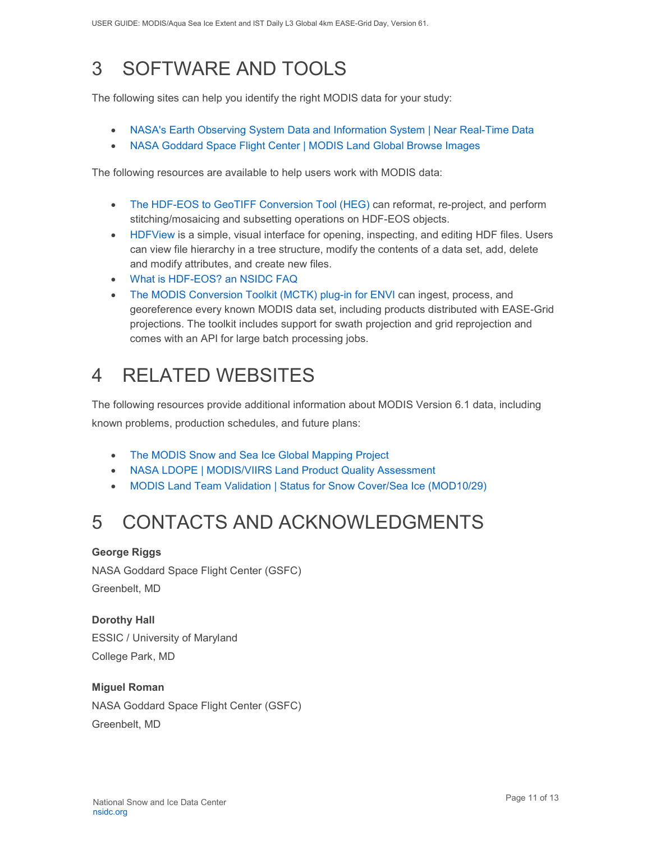# 3 SOFTWARE AND TOOLS

The following sites can help you identify the right MODIS data for your study:

- [NASA's Earth Observing System Data and Information System | Near Real-Time Data](http://earthdata.nasa.gov/data/near-real-time-data/rapid-response)
- [NASA Goddard Space Flight Center | MODIS Land Global Browse Images](https://landweb.modaps.eosdis.nasa.gov/cgi-bin/browse/browseMODIS.cgi)

The following resources are available to help users work with MODIS data:

- [The HDF-EOS to GeoTIFF Conversion Tool \(HEG\)](https://wiki.earthdata.nasa.gov/display/DAS/HEG%3A++HDF-EOS+to+GeoTIFF+Conversion+Tool) can reformat, re-project, and perform stitching/mosaicing and subsetting operations on HDF-EOS objects.
- [HDFView](https://www.hdfgroup.org/downloads/hdfview/) is a simple, visual interface for opening, inspecting, and editing HDF files. Users can view file hierarchy in a tree structure, modify the contents of a data set, add, delete and modify attributes, and create new files.
- [What is HDF-EOS? an NSIDC FAQ](https://nsidc.org/support/faq/what-hdf-eos)
- [The MODIS Conversion Toolkit \(MCTK\) plug-in for ENVI](https://github.com/dawhite/MCTK) can ingest, process, and georeference every known MODIS data set, including products distributed with EASE-Grid projections. The toolkit includes support for swath projection and grid reprojection and comes with an API for large batch processing jobs.

# <span id="page-11-0"></span>4 RELATED WEBSITES

The following resources provide additional information about MODIS Version 6.1 data, including known problems, production schedules, and future plans:

- [The MODIS Snow and Sea Ice Global Mapping Project](http://modis-snow-ice.gsfc.nasa.gov/)
- [NASA LDOPE | MODIS/VIIRS Land Product Quality Assessment](https://landweb.modaps.eosdis.nasa.gov/cgi-bin/QS/new/index.cgi)
- [MODIS Land Team Validation | Status](https://modis-land.gsfc.nasa.gov/ValStatus.php?ProductID=MOD10/29) for Snow Cover/Sea Ice (MOD10/29)

# <span id="page-11-1"></span>5 CONTACTS AND ACKNOWLEDGMENTS

### **George Riggs**

NASA Goddard Space Flight Center (GSFC) Greenbelt, MD

**Dorothy Hall**  ESSIC / University of Maryland College Park, MD

### **Miguel Roman**

NASA Goddard Space Flight Center (GSFC) Greenbelt, MD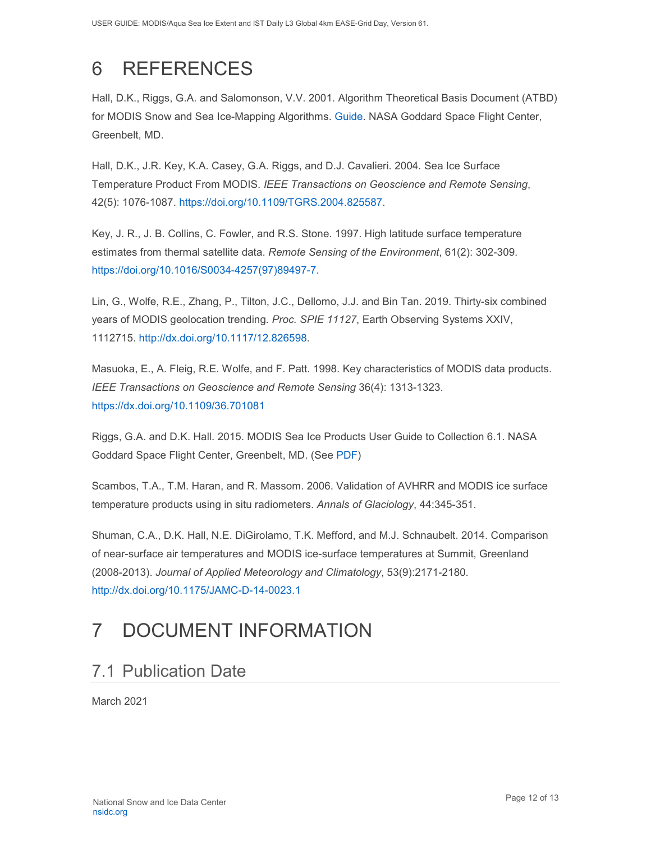# <span id="page-12-0"></span>6 REFERENCES

Hall, D.K., Riggs, G.A. and Salomonson, V.V. 2001. Algorithm Theoretical Basis Document (ATBD) for MODIS Snow and Sea Ice-Mapping Algorithms. [Guide.](https://modis-snow-ice.gsfc.nasa.gov/?c=atbd) NASA Goddard Space Flight Center, Greenbelt, MD.

Hall, D.K., J.R. Key, K.A. Casey, G.A. Riggs, and D.J. Cavalieri. 2004. Sea Ice Surface Temperature Product From MODIS. *IEEE Transactions on Geoscience and Remote Sensing*, 42(5): 1076-1087. [https://doi.org/10.1109/TGRS.2004.825587.](https://doi.org/10.1109/TGRS.2004.825587)

Key, J. R., J. B. Collins, C. Fowler, and R.S. Stone. 1997. High latitude surface temperature estimates from thermal satellite data. *Remote Sensing of the Environment*, 61(2): 302-309. [https://doi.org/10.1016/S0034-4257\(97\)89497-7.](https://doi.org/10.1016/S0034-4257(97)89497-7)

Lin, G., Wolfe, R.E., Zhang, P., Tilton, J.C., Dellomo, J.J. and Bin Tan. 2019. Thirty-six combined years of MODIS geolocation trending. *Proc. SPIE 11127*, Earth Observing Systems XXIV, 1112715. [http://dx.doi.org/10.1117/12.826598.](http://dx.doi.org/10.1117/12.826598)

Masuoka, E., A. Fleig, R.E. Wolfe, and F. Patt. 1998. Key characteristics of MODIS data products. *IEEE Transactions on Geoscience and Remote Sensing* 36(4): 1313-1323. <https://dx.doi.org/10.1109/36.701081>

Riggs, G.A. and D.K. Hall. 2015. MODIS Sea Ice Products User Guide to Collection 6.1. NASA Goddard Space Flight Center, Greenbelt, MD. (See [PDF\)](https://nsidc.org/sites/nsidc.org/files/technical-references/MOD29_C61_UserGuide.pdf)

Scambos, T.A., T.M. Haran, and R. Massom. 2006. Validation of AVHRR and MODIS ice surface temperature products using in situ radiometers. *Annals of Glaciology*, 44:345-351.

Shuman, C.A., D.K. Hall, N.E. DiGirolamo, T.K. Mefford, and M.J. Schnaubelt. 2014. Comparison of near-surface air temperatures and MODIS ice-surface temperatures at Summit, Greenland (2008-2013). *Journal of Applied Meteorology and Climatology*, 53(9):2171-2180. <http://dx.doi.org/10.1175/JAMC-D-14-0023.1>

# <span id="page-12-1"></span>7 DOCUMENT INFORMATION

## <span id="page-12-2"></span>7.1 Publication Date

March 2021